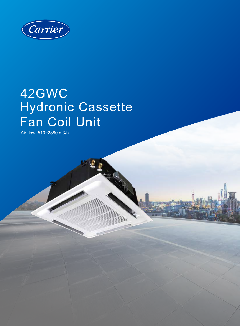

# 42GWC Hydronic Cassette Fan Coil Unit

不变

£

Air flow: 510~2380 m3/h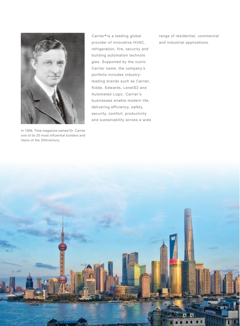

In 1998, Time magazine named Dr. Carrier one of its 20 most influential builders and titans of the 20thcentury.

Carrier<sup>®</sup> is a leading global provider of innovative HVAC, refrigeration, fire, security and building automation technolo gies. Supported by the iconic Carrier name, the company's portfolio includes industryleading brands such as Carrier, Kidde, Edwards, LenelS2 and Automated Logic. Carrier's businesses enable modern life, delivering efficiency, safety, security, comfort, productivity and sustainability across a wide range of residential, commercial and industrial applications.

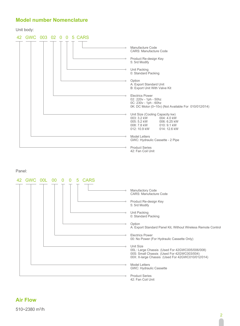### **Model number Nomenclature**

Unit body:



Panel:



# **Air Flow**

510~2380 m3/h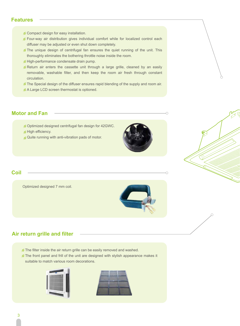### **Features**

- Compact design for easy installation.
- Four-way air distribution gives individual comfort while for localized control each diffuser may be adjusted or even shut down completely.
- The unique design of centrifugal fan ensures the quiet running of the unit. This thoroughly eliminates the bothering throttle noise inside the room.
- High-performance condensate drain pump.
- Return air enters the cassette unit through a large grille, cleaned by an easily removable, washable filter, and then keep the room air fresh through constant circulation.
- The Special design of the diffuser ensures rapid blending of the supply and room air.
- A Large LCD screen thermostat is optioned.

### **Motor and Fan**

- Optimized designed centrifugal fan design for 42GWC.
- High efficiency.
- Quite running with anti-vibration pads of motor.



### **Coil**

Optimized designed 7 mm coil.



C

### **Air return grille and filter**

The filter inside the air return grille can be easily removed and washed.

The front panel and frill of the unit are designed with stylish appearance makes it suitable to match various room decorations.



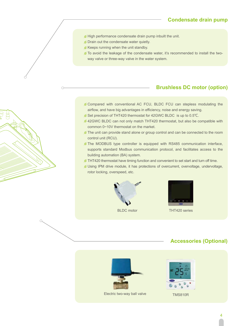### **Condensate drain pump**

- High performance condensate drain pump inbuilt the unit.
- **Drain out the condensate water quietly.**
- Keeps running when the unit standby.
- To avoid the leakage of the condensate water, it's recommended to install the twoway valve or three-way valve in the water system.

### **Brushless DC motor (option)**

- Compared with conventional AC FCU, BLDC FCU can stepless modulating the airflow, and have big advantages in efficiency, noise and energy saving.
- Set precision of THT420 thermostat for 42GWC BLDC is up to 0.5℃.
- 42GWC BLDC can not only match THT420 thermostat, but also be compatible with common 0~10V thermostat on the market.
- The unit can provide stand alone or group control and can be connected to the room control unit (RCU).
- The MODBUS type controller is equipped with RS485 communication interface, supports standard Modbus communication protocol, and facilitates access to the building automation (BA) system.
- THT420 thermostat have timing function and convenient to set start and turn off time.
- Using IPM drive module, it has protections of overcurrent, overvoltage, undervoltage, rotor locking, overspeed, etc.



 $\bigcap$ 



BLDC motor THT420 series

### **Accessories (Optional)**



Electric two-way ball valve TMS810R

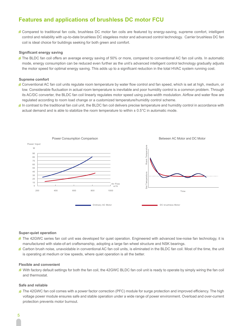# **Features and applications of brushless DC motor FCU**

Compared to traditional fan coils, brushless DC motor fan coils are featured by energy-saving, supreme comfort, intelligent control and reliability with up-to-date brushless DC stageless motor and advanced control technology. Carrier brushless DC fan coil is ideal choice for buildings seeking for both green and comfort.

#### **Significant energy saving**

The BLDC fan coil offers an average energy saving of 50% or more, compared to conventional AC fan coil units. In automatic mode, energy consumption can be reduced even further as the unit's advanced intelligent control technology gradually adjusts the motor speed for optimal energy saving. This adds up to a significant reduction in the total HVAC system running cost.

#### **Supreme comfort**

- Conventional AC fan coil units regulate room temperature by water flow control and fan speed, which is set at high, medium, or low. Considerable fluctuation in actual room temperature is inevitable and poor humidity control is a common problem. Through its AC/DC converter, the BLDC fan coil linearly regulates motor speed using pulse-width modulation. Airflow and water flow are regulated according to room load change or a customized temperature/humidity control scheme.
- In contrast to the traditional fan coil unit, the BLDC fan coil delivers precise temperature and humidity control in accordance with actual demand and is able to stabilize the room temperature to within  $\pm$  0.5°C in automatic mode.



#### **Super-quiet operation**

- The 42GWC series fan coil unit was developed for quiet operation. Engineered with advanced low-noise fan technology, it is manufactured with state-of-art craftsmanship, adopting a large fan wheel structure and NSK bearings.
- Carbon brush noise, unavoidable in conventional AC fan coil units, is eliminated in the BLDC fan coil. Most of the time, the unit is operating at medium or low speeds, where quiet operation is all the better.

#### **Flexible and convenient**

With factory default settings for both the fan coil, the 42GWC BLDC fan coil unit is ready to operate by simply wiring the fan coil and thermostat.

#### **Safe and reliable**

The 42GWC fan coil comes with a power factor correction (PFC) module for surge protection and improved efficiency. The high voltage power module ensures safe and stable operation under a wide range of power environment. Overload and over-current protection prevents motor burnout.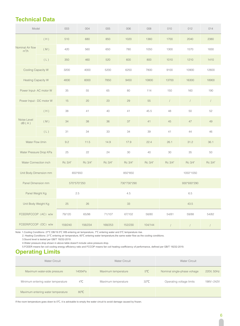# **Technical Data**

| Model                       |     | 003     | 004         | 005     | 006         | 008     | 010            | 012              | 014            |  |
|-----------------------------|-----|---------|-------------|---------|-------------|---------|----------------|------------------|----------------|--|
| Nominal Air flow<br>$m^3/h$ | (H) | 510     | 680         | 850     | 1020        | 1360    | 1700           | 2040             | 2380           |  |
|                             | (M) | 420     | 560         | 650     | 780         | 1050    | 1300           | 1570             | 1830           |  |
|                             | (L) | 350     | 460         | 520     | 600         | 800     | 1010           | 1210             | 1410           |  |
| Cooling Capacity W          |     | 3200    | 4000        | 5200    | 6250        | 7800    | 9100           | 10900            | 12600          |  |
| <b>Heating Capacity W</b>   |     | 4830    | 6000        | 7850    | 9450        | 10800   | 13700          | 16300            | 18900          |  |
| Power Input- AC motor W     |     | 35      | 55          | 65      | 80          | 114     | 150            | 160              | 190            |  |
| Power Input - DC motor W    |     | 15      | 20          | 23      | 29          | 55      | $\overline{1}$ | $\boldsymbol{/}$ | $\overline{1}$ |  |
| Noise Level<br>dB(A)        | (H) | 38      | 41          | 40      | 41          | 45.5    | 48             | 50               | 52             |  |
|                             | (M) | 34      | 38          | 36      | 37          | 41      | 45             | 47               | 49             |  |
|                             | (L) | 31      | 34          | 33      | 34          | 39      | 41             | 44               | 46             |  |
| Water Flow I/min            |     | 9.2     | 11.5        | 14.9    | 17.9        | 22.4    | 26.1           | 31.2             | 36.1           |  |
| Water Pressure Drop KPa     |     | 25      | 22          | 24      | 30          | 40      | 30             | 35               | 50             |  |
| Water Connection inch       |     | Rc 3/4" | Rc 3/4"     | Rc 3/4" | Rc 3/4"     | Rc 3/4" | Rc 3/4"        | Rc 3/4"          | Rc 3/4"        |  |
| Unit Body Dimension mm      |     |         | 650*650     |         | 850*850     |         |                | 1050*1050        |                |  |
| Panel Dimension mm          |     |         | 570*570*250 |         | 730*730*290 |         | 930*930*290    |                  |                |  |
| Panel Weight Kg             |     | 2.5     |             | 4.5     |             |         | 6.5            |                  |                |  |
| Unit Body Weight Kg         |     | 25      | 26          | 33      |             |         | 43.5           |                  |                |  |
| FCEER/FCCOP (AC) w/w        |     | 79/120  | 65/98       | 71/107  | 67/102      | 58/80   | 54/81          | 59/88            | 54/82          |  |
| FCEER/FCCOP (DC) w/w        |     | 159/240 | 156/234     | 168/253 | 152/230     | 104/144 | $\sqrt{ }$     | $\sqrt{ }$       |                |  |

Note: 1.Cooling Conditions: 27℃ DB/19.5℃ WB entering air temperature, 7℃ entering water and 5℃ temperature rise.

2. Heating Conditions: 21℃ entering air temperature, 60℃ entering water temperature,the same water flow as the cooling conditions.

3.Sound level is tested per GB/T 19232-2019.

4.Water pressure drop shown in above table doesn't include valve pressure drop.

5.FCEER means fan coil cooling energy efficiency ratio and FCCOP means fan coil heating coefficiency of performance, defined per GB/T 19232-2019.

# **Operating Limits**

| Water Circuit                      | <b>Water Circuit</b> |                     | <b>Water Circuit</b> |                             |            |
|------------------------------------|----------------------|---------------------|----------------------|-----------------------------|------------|
| Maximum water-side pressure        | 1400kPa              | Maximum temperature | $5^{\circ}$ C        | Nominal single-phase vohage | 220V, 50Hz |
| Minimum entering water temperature | $4^{\circ}$ C        | Maximum temperature | $32^{\circ}C$        | Operating voltage limits    | 198V~242V  |
| Maximum entering water temperature | $80^{\circ}$ C       |                     |                      |                             |            |

If the room temperature goes down to 0℃, it is advisable to empty the water circuit to avoid damage caused by frozen.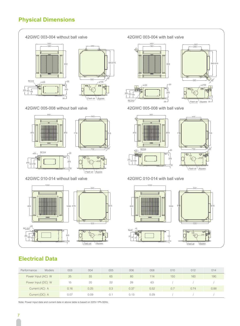# **Physical Dimensions**



| Performance        | <b>Models</b>  | 003  | 004  | 005 | 006  | 008  | 010 | 012  | 014  |
|--------------------|----------------|------|------|-----|------|------|-----|------|------|
| Power Input (AC) W |                | 35   | 55   | 65  | 80   | 114  | 150 | 160  | 190  |
| Power Input (DC) W |                | 15   | 20   | 22  | 28   | 63   |     |      |      |
| Current (AC) A     |                | 0.16 | 0.25 | 0.3 | 0.37 | 0.52 | 0.7 | 0.74 | 0.88 |
|                    | Current (DC) A | 0.07 | 0.09 | 0.1 | 0.13 | 0.29 |     |      |      |

Note: Power input data and current data in above table is based on 220V-1Ph-50Hz.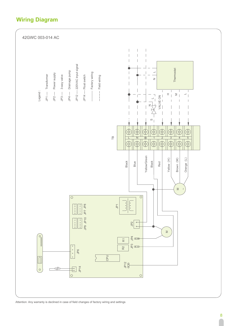# **Wiring Diagram**



Attention: Any warranty is declined in case of field changes of factory wiring and settings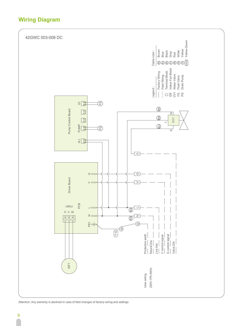# **Wiring Diagram**



Attention: Any warranty is declined in case of field changes of factory wiring and settings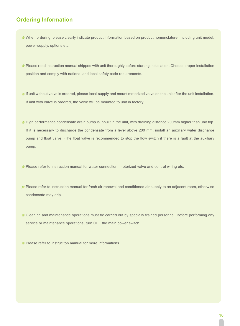# **Ordering Information**

- When ordering, please clearly indicate product information based on product nomenclature, including unit model, power-supply, options etc.
- Please read instruction manual shipped with unit thoroughly before starting installation. Choose proper installation position and comply with national and local safety code requirements.
- If unit without valve is ordered, please local-supply and mount motorized valve on the unit after the unit installation. If unit with valve is ordered, the valve will be mounted to unit in factory.
- High performance condensate drain pump is inbuilt in the unit, with draining distance 200mm higher than unit top. If it is necessary to discharge the condensate from a level above 200 mm, install an auxiliary water discharge pump and float valve. ·The float valve is recommended to stop the flow switch if there is a fault at the auxiliary pump.
- **Please refer to instruction manual for water connection, motorized valve and control wiring etc.**
- Please refer to instruction manual for fresh air renewal and conditioned air supply to an adjacent room, otherwise condensate may drip.
- Cleaning and maintenance operations must be carried out by specially trained personnel. Before performing any service or maintenance operations, turn OFF the main power switch.
- Please refer to instruciton manual for more informations.